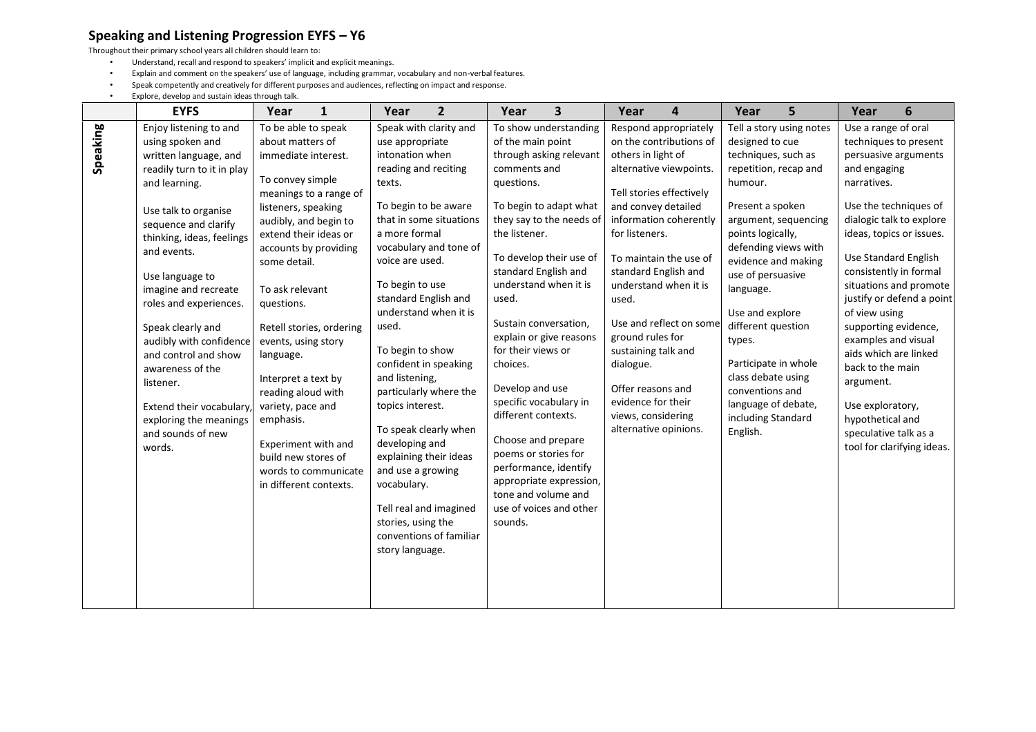## **Speaking and Listening Progression EYFS – Y6**

Throughout their primary school years all children should learn to:

- Understand, recall and respond to speakers' implicit and explicit meanings.
- Explain and comment on the speakers' use of language, including grammar, vocabulary and non-verbal features.<br>• Speak competently and creatively for different purposes and audiences reflecting on impact and response
- Speak competently and creatively for different purposes and audiences, reflecting on impact and response.
- Explore, develop and sustain ideas through talk.

|          | <b>EYFS</b>                                                                                                                                                                                                                                                                                                                                                                                                                                                                      | Year                                                                                                                                                                                                                                                                                                                                                                                                                             | $\mathbf{1}$                                                               | Year                                                                                                                                                                                                                                                                                                                                                                   | $\overline{2}$                                                                                                                                                                                                                         | Year                                                                                                                                                                                                                                                                                                                                                                                                                                               | $\overline{\mathbf{3}}$                                                                                                            | Year                                                                                                                                                                                                                                           | 4                                                                                                                                                                                                               | Year                                                                                                                                                                                                                                                                              | 5                                                                                                                                                | Year                                                                                                                                                                                                                                                                                                                                                 | 6                                                                                                                                                              |
|----------|----------------------------------------------------------------------------------------------------------------------------------------------------------------------------------------------------------------------------------------------------------------------------------------------------------------------------------------------------------------------------------------------------------------------------------------------------------------------------------|----------------------------------------------------------------------------------------------------------------------------------------------------------------------------------------------------------------------------------------------------------------------------------------------------------------------------------------------------------------------------------------------------------------------------------|----------------------------------------------------------------------------|------------------------------------------------------------------------------------------------------------------------------------------------------------------------------------------------------------------------------------------------------------------------------------------------------------------------------------------------------------------------|----------------------------------------------------------------------------------------------------------------------------------------------------------------------------------------------------------------------------------------|----------------------------------------------------------------------------------------------------------------------------------------------------------------------------------------------------------------------------------------------------------------------------------------------------------------------------------------------------------------------------------------------------------------------------------------------------|------------------------------------------------------------------------------------------------------------------------------------|------------------------------------------------------------------------------------------------------------------------------------------------------------------------------------------------------------------------------------------------|-----------------------------------------------------------------------------------------------------------------------------------------------------------------------------------------------------------------|-----------------------------------------------------------------------------------------------------------------------------------------------------------------------------------------------------------------------------------------------------------------------------------|--------------------------------------------------------------------------------------------------------------------------------------------------|------------------------------------------------------------------------------------------------------------------------------------------------------------------------------------------------------------------------------------------------------------------------------------------------------------------------------------------------------|----------------------------------------------------------------------------------------------------------------------------------------------------------------|
| Speaking | Enjoy listening to and<br>using spoken and<br>written language, and<br>readily turn to it in play<br>and learning.<br>Use talk to organise<br>sequence and clarify<br>thinking, ideas, feelings<br>and events.<br>Use language to<br>imagine and recreate<br>roles and experiences.<br>Speak clearly and<br>audibly with confidence<br>and control and show<br>awareness of the<br>listener.<br>Extend their vocabulary<br>exploring the meanings<br>and sounds of new<br>words. | To be able to speak<br>about matters of<br>immediate interest.<br>To convey simple<br>listeners, speaking<br>audibly, and begin to<br>extend their ideas or<br>accounts by providing<br>some detail.<br>To ask relevant<br>questions.<br>events, using story<br>language.<br>Interpret a text by<br>reading aloud with<br>variety, pace and<br>emphasis.<br>Experiment with and<br>build new stores of<br>in different contexts. | meanings to a range of<br>Retell stories, ordering<br>words to communicate | use appropriate<br>intonation when<br>reading and reciting<br>texts.<br>To begin to be aware<br>a more formal<br>voice are used.<br>To begin to use<br>standard English and<br>used.<br>To begin to show<br>confident in speaking<br>and listening,<br>topics interest.<br>developing and<br>and use a growing<br>vocabulary.<br>stories, using the<br>story language. | Speak with clarity and<br>that in some situations<br>vocabulary and tone of<br>understand when it is<br>particularly where the<br>To speak clearly when<br>explaining their ideas<br>Tell real and imagined<br>conventions of familiar | of the main point<br>comments and<br>questions.<br>To begin to adapt what<br>the listener.<br>To develop their use of<br>standard English and<br>understand when it is<br>used.<br>Sustain conversation,<br>explain or give reasons<br>for their views or<br>choices.<br>Develop and use<br>specific vocabulary in<br>different contexts.<br>Choose and prepare<br>poems or stories for<br>performance, identify<br>tone and volume and<br>sounds. | To show understanding<br>through asking relevant<br>they say to the needs of<br>appropriate expression,<br>use of voices and other | others in light of<br>and convey detailed<br>for listeners.<br>standard English and<br>used.<br>ground rules for<br>sustaining talk and<br>dialogue.<br>Offer reasons and<br>evidence for their<br>views, considering<br>alternative opinions. | Respond appropriately<br>on the contributions of<br>alternative viewpoints.<br>Tell stories effectively<br>information coherently<br>To maintain the use of<br>understand when it is<br>Use and reflect on some | designed to cue<br>techniques, such as<br>humour.<br>Present a spoken<br>points logically,<br>use of persuasive<br>language.<br>Use and explore<br>different question<br>types.<br>class debate using<br>conventions and<br>language of debate,<br>including Standard<br>English. | Tell a story using notes<br>repetition, recap and<br>argument, sequencing<br>defending views with<br>evidence and making<br>Participate in whole | Use a range of oral<br>and engaging<br>narratives.<br>Use the techniques of<br>ideas, topics or issues.<br>Use Standard English<br>consistently in formal<br>of view using<br>supporting evidence,<br>examples and visual<br>aids which are linked<br>back to the main<br>argument.<br>Use exploratory,<br>hypothetical and<br>speculative talk as a | techniques to present<br>persuasive arguments<br>dialogic talk to explore<br>situations and promote<br>justify or defend a point<br>tool for clarifying ideas. |